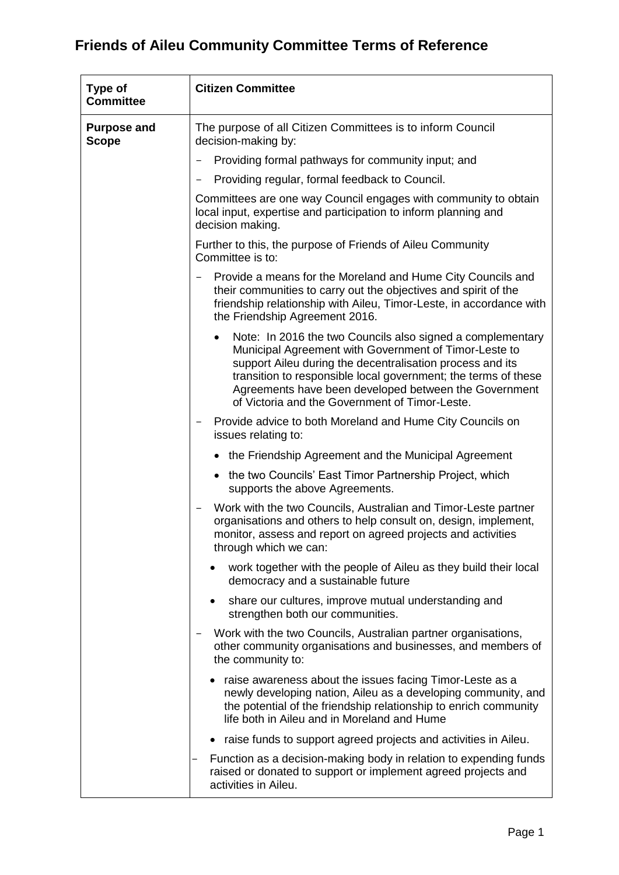| <b>Type of</b><br><b>Committee</b> | <b>Citizen Committee</b>                                                                                                                                                                                                                                                                                                                                      |
|------------------------------------|---------------------------------------------------------------------------------------------------------------------------------------------------------------------------------------------------------------------------------------------------------------------------------------------------------------------------------------------------------------|
| <b>Purpose and</b><br><b>Scope</b> | The purpose of all Citizen Committees is to inform Council<br>decision-making by:                                                                                                                                                                                                                                                                             |
|                                    | Providing formal pathways for community input; and                                                                                                                                                                                                                                                                                                            |
|                                    | Providing regular, formal feedback to Council.                                                                                                                                                                                                                                                                                                                |
|                                    | Committees are one way Council engages with community to obtain<br>local input, expertise and participation to inform planning and<br>decision making.                                                                                                                                                                                                        |
|                                    | Further to this, the purpose of Friends of Aileu Community<br>Committee is to:                                                                                                                                                                                                                                                                                |
|                                    | Provide a means for the Moreland and Hume City Councils and<br>their communities to carry out the objectives and spirit of the<br>friendship relationship with Aileu, Timor-Leste, in accordance with<br>the Friendship Agreement 2016.                                                                                                                       |
|                                    | Note: In 2016 the two Councils also signed a complementary<br>Municipal Agreement with Government of Timor-Leste to<br>support Aileu during the decentralisation process and its<br>transition to responsible local government; the terms of these<br>Agreements have been developed between the Government<br>of Victoria and the Government of Timor-Leste. |
|                                    | Provide advice to both Moreland and Hume City Councils on<br>issues relating to:                                                                                                                                                                                                                                                                              |
|                                    | the Friendship Agreement and the Municipal Agreement                                                                                                                                                                                                                                                                                                          |
|                                    | the two Councils' East Timor Partnership Project, which<br>supports the above Agreements.                                                                                                                                                                                                                                                                     |
|                                    | Work with the two Councils, Australian and Timor-Leste partner<br>organisations and others to help consult on, design, implement,<br>monitor, assess and report on agreed projects and activities<br>through which we can:                                                                                                                                    |
|                                    | work together with the people of Aileu as they build their local<br>democracy and a sustainable future                                                                                                                                                                                                                                                        |
|                                    | share our cultures, improve mutual understanding and<br>$\bullet$<br>strengthen both our communities.                                                                                                                                                                                                                                                         |
|                                    | Work with the two Councils, Australian partner organisations,<br>other community organisations and businesses, and members of<br>the community to:                                                                                                                                                                                                            |
|                                    | • raise awareness about the issues facing Timor-Leste as a<br>newly developing nation, Aileu as a developing community, and<br>the potential of the friendship relationship to enrich community<br>life both in Aileu and in Moreland and Hume                                                                                                                |
|                                    | raise funds to support agreed projects and activities in Aileu.                                                                                                                                                                                                                                                                                               |
|                                    | Function as a decision-making body in relation to expending funds<br>raised or donated to support or implement agreed projects and<br>activities in Aileu.                                                                                                                                                                                                    |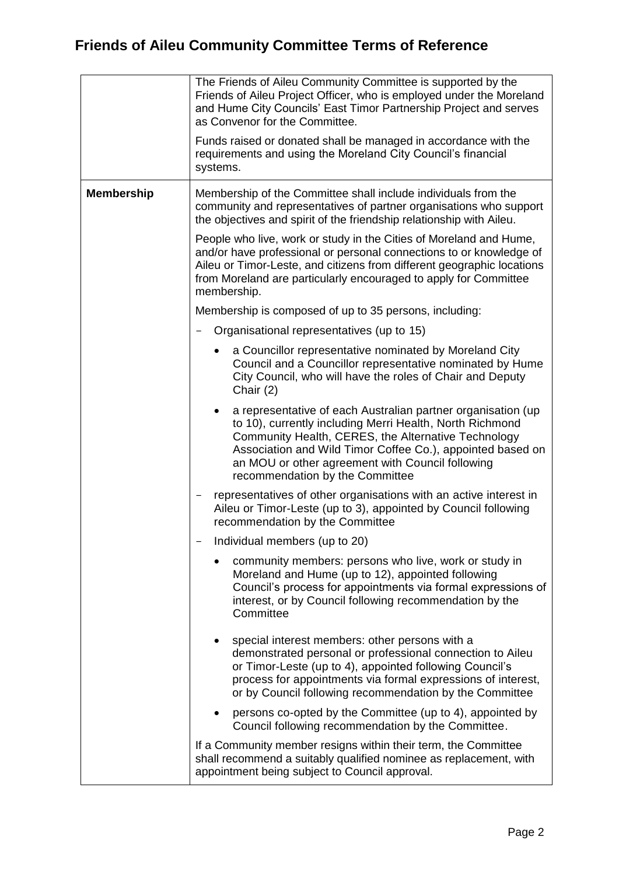|                   | The Friends of Aileu Community Committee is supported by the<br>Friends of Aileu Project Officer, who is employed under the Moreland<br>and Hume City Councils' East Timor Partnership Project and serves<br>as Convenor for the Committee.<br>Funds raised or donated shall be managed in accordance with the<br>requirements and using the Moreland City Council's financial<br>systems. |
|-------------------|--------------------------------------------------------------------------------------------------------------------------------------------------------------------------------------------------------------------------------------------------------------------------------------------------------------------------------------------------------------------------------------------|
| <b>Membership</b> | Membership of the Committee shall include individuals from the<br>community and representatives of partner organisations who support<br>the objectives and spirit of the friendship relationship with Aileu.                                                                                                                                                                               |
|                   | People who live, work or study in the Cities of Moreland and Hume,<br>and/or have professional or personal connections to or knowledge of<br>Aileu or Timor-Leste, and citizens from different geographic locations<br>from Moreland are particularly encouraged to apply for Committee<br>membership.                                                                                     |
|                   | Membership is composed of up to 35 persons, including:                                                                                                                                                                                                                                                                                                                                     |
|                   | Organisational representatives (up to 15)                                                                                                                                                                                                                                                                                                                                                  |
|                   | a Councillor representative nominated by Moreland City<br>Council and a Councillor representative nominated by Hume<br>City Council, who will have the roles of Chair and Deputy<br>Chair (2)                                                                                                                                                                                              |
|                   | a representative of each Australian partner organisation (up<br>to 10), currently including Merri Health, North Richmond<br>Community Health, CERES, the Alternative Technology<br>Association and Wild Timor Coffee Co.), appointed based on<br>an MOU or other agreement with Council following<br>recommendation by the Committee                                                       |
|                   | representatives of other organisations with an active interest in<br>Aileu or Timor-Leste (up to 3), appointed by Council following<br>recommendation by the Committee                                                                                                                                                                                                                     |
|                   | Individual members (up to 20)                                                                                                                                                                                                                                                                                                                                                              |
|                   | community members: persons who live, work or study in<br>Moreland and Hume (up to 12), appointed following<br>Council's process for appointments via formal expressions of<br>interest, or by Council following recommendation by the<br>Committee                                                                                                                                         |
|                   | special interest members: other persons with a<br>demonstrated personal or professional connection to Aileu<br>or Timor-Leste (up to 4), appointed following Council's<br>process for appointments via formal expressions of interest,<br>or by Council following recommendation by the Committee                                                                                          |
|                   | persons co-opted by the Committee (up to 4), appointed by<br>Council following recommendation by the Committee.                                                                                                                                                                                                                                                                            |
|                   | If a Community member resigns within their term, the Committee<br>shall recommend a suitably qualified nominee as replacement, with<br>appointment being subject to Council approval.                                                                                                                                                                                                      |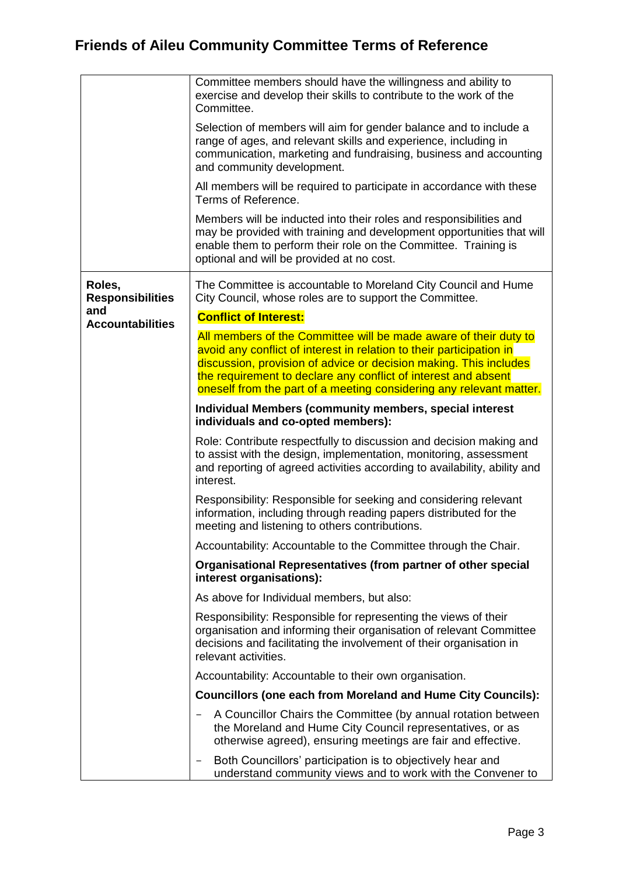|                                          | Committee members should have the willingness and ability to<br>exercise and develop their skills to contribute to the work of the<br>Committee.                                                                                                                                                                                                       |
|------------------------------------------|--------------------------------------------------------------------------------------------------------------------------------------------------------------------------------------------------------------------------------------------------------------------------------------------------------------------------------------------------------|
|                                          | Selection of members will aim for gender balance and to include a<br>range of ages, and relevant skills and experience, including in<br>communication, marketing and fundraising, business and accounting<br>and community development.                                                                                                                |
|                                          | All members will be required to participate in accordance with these<br>Terms of Reference.                                                                                                                                                                                                                                                            |
|                                          | Members will be inducted into their roles and responsibilities and<br>may be provided with training and development opportunities that will<br>enable them to perform their role on the Committee. Training is<br>optional and will be provided at no cost.                                                                                            |
| Roles,<br><b>Responsibilities</b><br>and | The Committee is accountable to Moreland City Council and Hume<br>City Council, whose roles are to support the Committee.                                                                                                                                                                                                                              |
| <b>Accountabilities</b>                  | <b>Conflict of Interest:</b>                                                                                                                                                                                                                                                                                                                           |
|                                          | All members of the Committee will be made aware of their duty to<br>avoid any conflict of interest in relation to their participation in<br>discussion, provision of advice or decision making. This includes<br>the requirement to declare any conflict of interest and absent<br>oneself from the part of a meeting considering any relevant matter. |
|                                          | Individual Members (community members, special interest<br>individuals and co-opted members):                                                                                                                                                                                                                                                          |
|                                          | Role: Contribute respectfully to discussion and decision making and<br>to assist with the design, implementation, monitoring, assessment<br>and reporting of agreed activities according to availability, ability and<br>interest.                                                                                                                     |
|                                          | Responsibility: Responsible for seeking and considering relevant<br>information, including through reading papers distributed for the<br>meeting and listening to others contributions.                                                                                                                                                                |
|                                          | Accountability: Accountable to the Committee through the Chair.                                                                                                                                                                                                                                                                                        |
|                                          | Organisational Representatives (from partner of other special<br>interest organisations):                                                                                                                                                                                                                                                              |
|                                          | As above for Individual members, but also:                                                                                                                                                                                                                                                                                                             |
|                                          | Responsibility: Responsible for representing the views of their<br>organisation and informing their organisation of relevant Committee<br>decisions and facilitating the involvement of their organisation in<br>relevant activities.                                                                                                                  |
|                                          | Accountability: Accountable to their own organisation.                                                                                                                                                                                                                                                                                                 |
|                                          | <b>Councillors (one each from Moreland and Hume City Councils):</b>                                                                                                                                                                                                                                                                                    |
|                                          | A Councillor Chairs the Committee (by annual rotation between<br>the Moreland and Hume City Council representatives, or as<br>otherwise agreed), ensuring meetings are fair and effective.                                                                                                                                                             |
|                                          | Both Councillors' participation is to objectively hear and<br>understand community views and to work with the Convener to                                                                                                                                                                                                                              |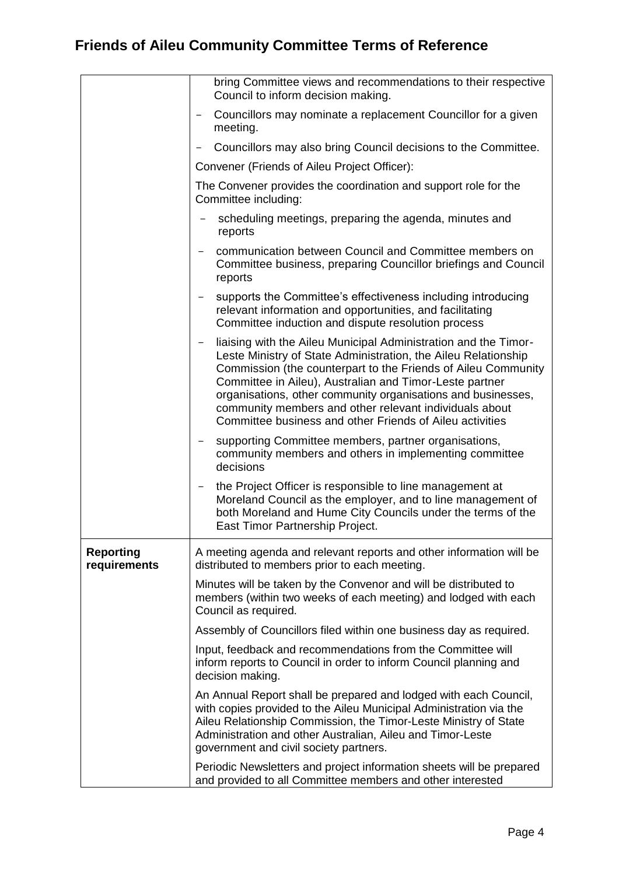|                                  | bring Committee views and recommendations to their respective<br>Council to inform decision making.                                                                                                                                                                                                                                                                                                                                                 |
|----------------------------------|-----------------------------------------------------------------------------------------------------------------------------------------------------------------------------------------------------------------------------------------------------------------------------------------------------------------------------------------------------------------------------------------------------------------------------------------------------|
|                                  | Councillors may nominate a replacement Councillor for a given<br>meeting.                                                                                                                                                                                                                                                                                                                                                                           |
|                                  | Councillors may also bring Council decisions to the Committee.                                                                                                                                                                                                                                                                                                                                                                                      |
|                                  | Convener (Friends of Aileu Project Officer):                                                                                                                                                                                                                                                                                                                                                                                                        |
|                                  | The Convener provides the coordination and support role for the<br>Committee including:                                                                                                                                                                                                                                                                                                                                                             |
|                                  | scheduling meetings, preparing the agenda, minutes and<br>reports                                                                                                                                                                                                                                                                                                                                                                                   |
|                                  | communication between Council and Committee members on<br>Committee business, preparing Councillor briefings and Council<br>reports                                                                                                                                                                                                                                                                                                                 |
|                                  | supports the Committee's effectiveness including introducing<br>$\qquad \qquad -$<br>relevant information and opportunities, and facilitating<br>Committee induction and dispute resolution process                                                                                                                                                                                                                                                 |
|                                  | liaising with the Aileu Municipal Administration and the Timor-<br>Leste Ministry of State Administration, the Aileu Relationship<br>Commission (the counterpart to the Friends of Aileu Community<br>Committee in Aileu), Australian and Timor-Leste partner<br>organisations, other community organisations and businesses,<br>community members and other relevant individuals about<br>Committee business and other Friends of Aileu activities |
|                                  | supporting Committee members, partner organisations,<br>community members and others in implementing committee<br>decisions                                                                                                                                                                                                                                                                                                                         |
|                                  | the Project Officer is responsible to line management at<br>Moreland Council as the employer, and to line management of<br>both Moreland and Hume City Councils under the terms of the<br>East Timor Partnership Project.                                                                                                                                                                                                                           |
| <b>Reporting</b><br>requirements | A meeting agenda and relevant reports and other information will be<br>distributed to members prior to each meeting.                                                                                                                                                                                                                                                                                                                                |
|                                  | Minutes will be taken by the Convenor and will be distributed to<br>members (within two weeks of each meeting) and lodged with each<br>Council as required.                                                                                                                                                                                                                                                                                         |
|                                  | Assembly of Councillors filed within one business day as required.                                                                                                                                                                                                                                                                                                                                                                                  |
|                                  | Input, feedback and recommendations from the Committee will<br>inform reports to Council in order to inform Council planning and<br>decision making.                                                                                                                                                                                                                                                                                                |
|                                  | An Annual Report shall be prepared and lodged with each Council,<br>with copies provided to the Aileu Municipal Administration via the<br>Aileu Relationship Commission, the Timor-Leste Ministry of State<br>Administration and other Australian, Aileu and Timor-Leste<br>government and civil society partners.                                                                                                                                  |
|                                  | Periodic Newsletters and project information sheets will be prepared<br>and provided to all Committee members and other interested                                                                                                                                                                                                                                                                                                                  |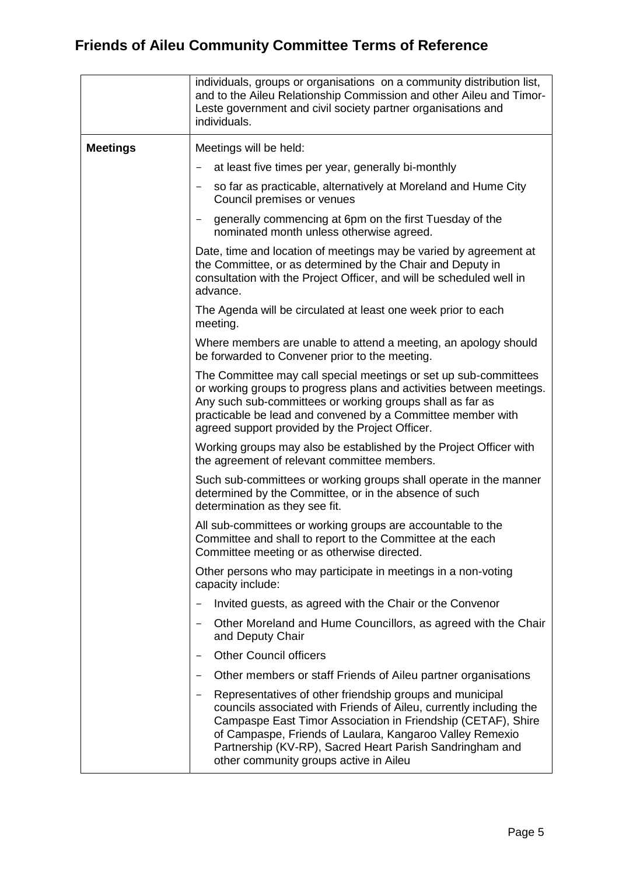|                 | individuals, groups or organisations on a community distribution list,<br>and to the Aileu Relationship Commission and other Aileu and Timor-<br>Leste government and civil society partner organisations and<br>individuals.                                                                                                                                    |
|-----------------|------------------------------------------------------------------------------------------------------------------------------------------------------------------------------------------------------------------------------------------------------------------------------------------------------------------------------------------------------------------|
| <b>Meetings</b> | Meetings will be held:                                                                                                                                                                                                                                                                                                                                           |
|                 | at least five times per year, generally bi-monthly                                                                                                                                                                                                                                                                                                               |
|                 | so far as practicable, alternatively at Moreland and Hume City<br>Council premises or venues                                                                                                                                                                                                                                                                     |
|                 | generally commencing at 6pm on the first Tuesday of the<br>nominated month unless otherwise agreed.                                                                                                                                                                                                                                                              |
|                 | Date, time and location of meetings may be varied by agreement at<br>the Committee, or as determined by the Chair and Deputy in<br>consultation with the Project Officer, and will be scheduled well in<br>advance.                                                                                                                                              |
|                 | The Agenda will be circulated at least one week prior to each<br>meeting.                                                                                                                                                                                                                                                                                        |
|                 | Where members are unable to attend a meeting, an apology should<br>be forwarded to Convener prior to the meeting.                                                                                                                                                                                                                                                |
|                 | The Committee may call special meetings or set up sub-committees<br>or working groups to progress plans and activities between meetings.<br>Any such sub-committees or working groups shall as far as<br>practicable be lead and convened by a Committee member with<br>agreed support provided by the Project Officer.                                          |
|                 | Working groups may also be established by the Project Officer with<br>the agreement of relevant committee members.                                                                                                                                                                                                                                               |
|                 | Such sub-committees or working groups shall operate in the manner<br>determined by the Committee, or in the absence of such<br>determination as they see fit.                                                                                                                                                                                                    |
|                 | All sub-committees or working groups are accountable to the<br>Committee and shall to report to the Committee at the each<br>Committee meeting or as otherwise directed.                                                                                                                                                                                         |
|                 | Other persons who may participate in meetings in a non-voting<br>capacity include:                                                                                                                                                                                                                                                                               |
|                 | Invited guests, as agreed with the Chair or the Convenor                                                                                                                                                                                                                                                                                                         |
|                 | Other Moreland and Hume Councillors, as agreed with the Chair<br>and Deputy Chair                                                                                                                                                                                                                                                                                |
|                 | <b>Other Council officers</b>                                                                                                                                                                                                                                                                                                                                    |
|                 | Other members or staff Friends of Aileu partner organisations                                                                                                                                                                                                                                                                                                    |
|                 | Representatives of other friendship groups and municipal<br>councils associated with Friends of Aileu, currently including the<br>Campaspe East Timor Association in Friendship (CETAF), Shire<br>of Campaspe, Friends of Laulara, Kangaroo Valley Remexio<br>Partnership (KV-RP), Sacred Heart Parish Sandringham and<br>other community groups active in Aileu |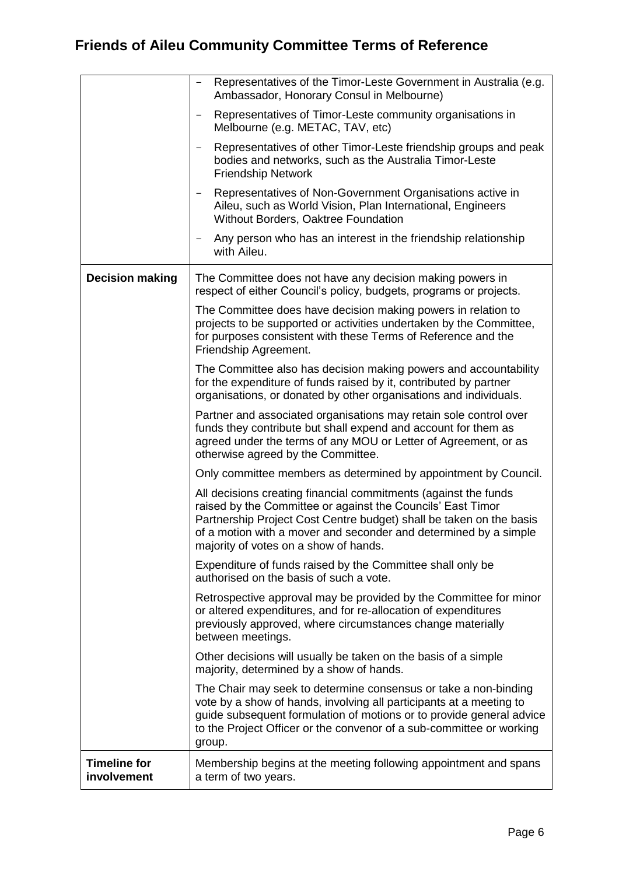|                                    | Representatives of the Timor-Leste Government in Australia (e.g.<br>Ambassador, Honorary Consul in Melbourne)                                                                                                                                                                                                      |
|------------------------------------|--------------------------------------------------------------------------------------------------------------------------------------------------------------------------------------------------------------------------------------------------------------------------------------------------------------------|
|                                    | Representatives of Timor-Leste community organisations in<br>Melbourne (e.g. METAC, TAV, etc)                                                                                                                                                                                                                      |
|                                    | Representatives of other Timor-Leste friendship groups and peak<br>bodies and networks, such as the Australia Timor-Leste<br><b>Friendship Network</b>                                                                                                                                                             |
|                                    | Representatives of Non-Government Organisations active in<br>Aileu, such as World Vision, Plan International, Engineers<br>Without Borders, Oaktree Foundation                                                                                                                                                     |
|                                    | Any person who has an interest in the friendship relationship<br>with Aileu.                                                                                                                                                                                                                                       |
| <b>Decision making</b>             | The Committee does not have any decision making powers in<br>respect of either Council's policy, budgets, programs or projects.                                                                                                                                                                                    |
|                                    | The Committee does have decision making powers in relation to<br>projects to be supported or activities undertaken by the Committee,<br>for purposes consistent with these Terms of Reference and the<br>Friendship Agreement.                                                                                     |
|                                    | The Committee also has decision making powers and accountability<br>for the expenditure of funds raised by it, contributed by partner<br>organisations, or donated by other organisations and individuals.                                                                                                         |
|                                    | Partner and associated organisations may retain sole control over<br>funds they contribute but shall expend and account for them as<br>agreed under the terms of any MOU or Letter of Agreement, or as<br>otherwise agreed by the Committee.                                                                       |
|                                    | Only committee members as determined by appointment by Council.                                                                                                                                                                                                                                                    |
|                                    | All decisions creating financial commitments (against the funds<br>raised by the Committee or against the Councils' East Timor<br>Partnership Project Cost Centre budget) shall be taken on the basis<br>of a motion with a mover and seconder and determined by a simple<br>majority of votes on a show of hands. |
|                                    | Expenditure of funds raised by the Committee shall only be<br>authorised on the basis of such a vote.                                                                                                                                                                                                              |
|                                    | Retrospective approval may be provided by the Committee for minor<br>or altered expenditures, and for re-allocation of expenditures<br>previously approved, where circumstances change materially<br>between meetings.                                                                                             |
|                                    | Other decisions will usually be taken on the basis of a simple<br>majority, determined by a show of hands.                                                                                                                                                                                                         |
|                                    | The Chair may seek to determine consensus or take a non-binding<br>vote by a show of hands, involving all participants at a meeting to<br>guide subsequent formulation of motions or to provide general advice<br>to the Project Officer or the convenor of a sub-committee or working<br>group.                   |
| <b>Timeline for</b><br>involvement | Membership begins at the meeting following appointment and spans<br>a term of two years.                                                                                                                                                                                                                           |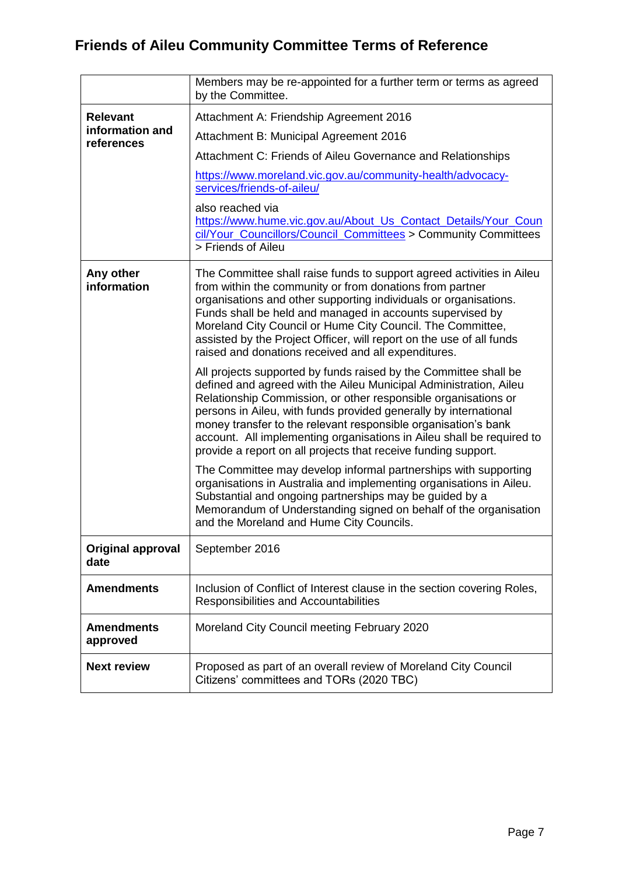|                                    | Members may be re-appointed for a further term or terms as agreed<br>by the Committee.                                                                                                                                                                                                                                                                                                                                                                                                   |
|------------------------------------|------------------------------------------------------------------------------------------------------------------------------------------------------------------------------------------------------------------------------------------------------------------------------------------------------------------------------------------------------------------------------------------------------------------------------------------------------------------------------------------|
| <b>Relevant</b><br>information and | Attachment A: Friendship Agreement 2016                                                                                                                                                                                                                                                                                                                                                                                                                                                  |
|                                    | Attachment B: Municipal Agreement 2016                                                                                                                                                                                                                                                                                                                                                                                                                                                   |
| references                         | Attachment C: Friends of Aileu Governance and Relationships                                                                                                                                                                                                                                                                                                                                                                                                                              |
|                                    | https://www.moreland.vic.gov.au/community-health/advocacy-<br>services/friends-of-aileu/                                                                                                                                                                                                                                                                                                                                                                                                 |
|                                    | also reached via<br>https://www.hume.vic.gov.au/About Us Contact Details/Your Coun<br>cil/Your_Councillors/Council_Committees > Community Committees<br>> Friends of Aileu                                                                                                                                                                                                                                                                                                               |
| Any other<br>information           | The Committee shall raise funds to support agreed activities in Aileu<br>from within the community or from donations from partner<br>organisations and other supporting individuals or organisations.<br>Funds shall be held and managed in accounts supervised by<br>Moreland City Council or Hume City Council. The Committee,<br>assisted by the Project Officer, will report on the use of all funds<br>raised and donations received and all expenditures.                          |
|                                    | All projects supported by funds raised by the Committee shall be<br>defined and agreed with the Aileu Municipal Administration, Aileu<br>Relationship Commission, or other responsible organisations or<br>persons in Aileu, with funds provided generally by international<br>money transfer to the relevant responsible organisation's bank<br>account. All implementing organisations in Aileu shall be required to<br>provide a report on all projects that receive funding support. |
|                                    | The Committee may develop informal partnerships with supporting<br>organisations in Australia and implementing organisations in Aileu.<br>Substantial and ongoing partnerships may be guided by a<br>Memorandum of Understanding signed on behalf of the organisation<br>and the Moreland and Hume City Councils.                                                                                                                                                                        |
| <b>Original approval</b><br>date   | September 2016                                                                                                                                                                                                                                                                                                                                                                                                                                                                           |
| <b>Amendments</b>                  | Inclusion of Conflict of Interest clause in the section covering Roles,<br>Responsibilities and Accountabilities                                                                                                                                                                                                                                                                                                                                                                         |
| <b>Amendments</b><br>approved      | Moreland City Council meeting February 2020                                                                                                                                                                                                                                                                                                                                                                                                                                              |
| <b>Next review</b>                 | Proposed as part of an overall review of Moreland City Council<br>Citizens' committees and TORs (2020 TBC)                                                                                                                                                                                                                                                                                                                                                                               |